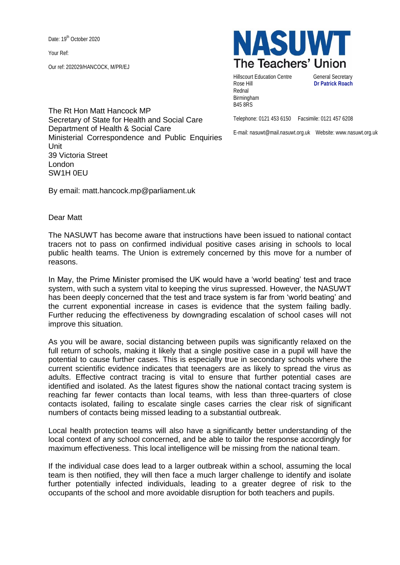Date: 19<sup>th</sup> October 2020

Your Ref:

Our ref: 202029/HANCOCK, M/PR/EJ



Hillscourt Education Centre **General Secretary** Rose Hill **Dr Patrick Roach** Rednal Birmingham B45 8RS

Telephone: 0121 453 6150 Facsimile: 0121 457 6208

E-mail: nasuwt@mail.nasuwt.org.uk Website: www.nasuwt.org.uk

The Rt Hon Matt Hancock MP Secretary of State for Health and Social Care Department of Health & Social Care Ministerial Correspondence and Public Enquiries Unit 39 Victoria Street London SW1H 0EU

By email: matt.hancock.mp@parliament.uk

Dear Matt

The NASUWT has become aware that instructions have been issued to national contact tracers not to pass on confirmed individual positive cases arising in schools to local public health teams. The Union is extremely concerned by this move for a number of reasons.

In May, the Prime Minister promised the UK would have a 'world beating' test and trace system, with such a system vital to keeping the virus supressed. However, the NASUWT has been deeply concerned that the test and trace system is far from 'world beating' and the current exponential increase in cases is evidence that the system failing badly. Further reducing the effectiveness by downgrading escalation of school cases will not improve this situation.

As you will be aware, social distancing between pupils was significantly relaxed on the full return of schools, making it likely that a single positive case in a pupil will have the potential to cause further cases. This is especially true in secondary schools where the current scientific evidence indicates that teenagers are as likely to spread the virus as adults. Effective contract tracing is vital to ensure that further potential cases are identified and isolated. As the latest figures show the national contact tracing system is reaching far fewer contacts than local teams, with less than three-quarters of close contacts isolated, failing to escalate single cases carries the clear risk of significant numbers of contacts being missed leading to a substantial outbreak.

Local health protection teams will also have a significantly better understanding of the local context of any school concerned, and be able to tailor the response accordingly for maximum effectiveness. This local intelligence will be missing from the national team.

If the individual case does lead to a larger outbreak within a school, assuming the local team is then notified, they will then face a much larger challenge to identify and isolate further potentially infected individuals, leading to a greater degree of risk to the occupants of the school and more avoidable disruption for both teachers and pupils.